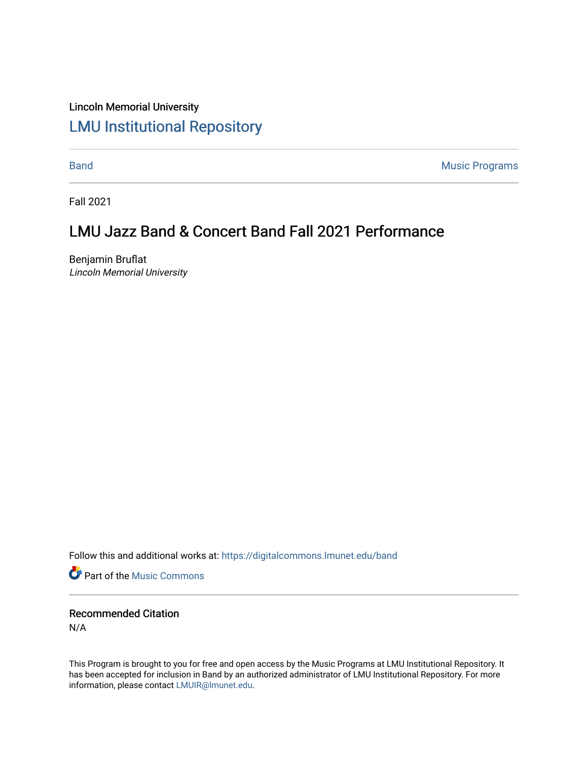## Lincoln Memorial University [LMU Institutional Repository](https://digitalcommons.lmunet.edu/)

[Band](https://digitalcommons.lmunet.edu/band) **Music Programs** 

Fall 2021

## LMU Jazz Band & Concert Band Fall 2021 Performance

Benjamin Bruflat Lincoln Memorial University

Follow this and additional works at: [https://digitalcommons.lmunet.edu/band](https://digitalcommons.lmunet.edu/band?utm_source=digitalcommons.lmunet.edu%2Fband%2F2&utm_medium=PDF&utm_campaign=PDFCoverPages)

**Part of the Music Commons** 

Recommended Citation N/A

This Program is brought to you for free and open access by the Music Programs at LMU Institutional Repository. It has been accepted for inclusion in Band by an authorized administrator of LMU Institutional Repository. For more information, please contact [LMUIR@lmunet.edu.](mailto:LMUIR@lmunet.edu)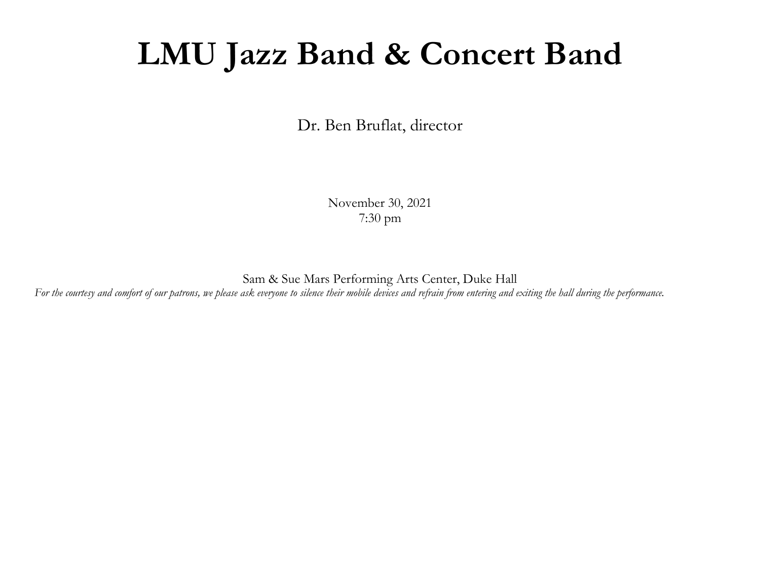## **LMU Jazz Band & Concert Band**

Dr. Ben Bruflat, director

November 30, 2021 7:30 pm

Sam & Sue Mars Performing Arts Center, Duke Hall *For the courtesy and comfort of our patrons, we please ask everyone to silence their mobile devices and refrain from entering and exiting the hall during the performance.*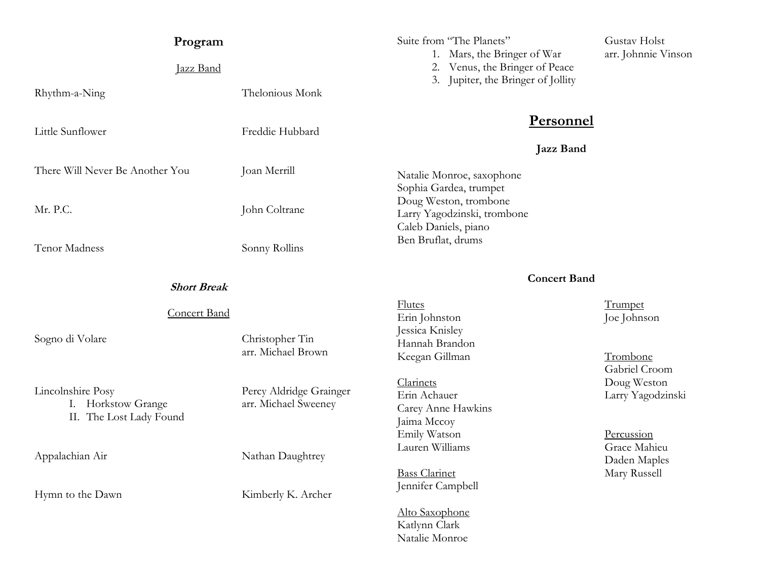| Program                                                            |                                                 | Suite from "The Planets"<br>1. Mars, the Bringer of War<br>2. Venus, the Bringer of Peace<br>3. Jupiter, the Bringer of Jollity                         | Gustav Holst                                      |
|--------------------------------------------------------------------|-------------------------------------------------|---------------------------------------------------------------------------------------------------------------------------------------------------------|---------------------------------------------------|
| Jazz Band                                                          |                                                 |                                                                                                                                                         | arr. Johnnie Vinson                               |
| Rhythm-a-Ning                                                      | Thelonious Monk                                 |                                                                                                                                                         |                                                   |
| Little Sunflower                                                   | Freddie Hubbard                                 | <b>Personnel</b>                                                                                                                                        |                                                   |
| There Will Never Be Another You                                    | Joan Merrill                                    | <b>Jazz Band</b><br>Natalie Monroe, saxophone<br>Sophia Gardea, trumpet<br>Doug Weston, trombone<br>Larry Yagodzinski, trombone<br>Caleb Daniels, piano |                                                   |
| Mr. P.C.                                                           | John Coltrane                                   |                                                                                                                                                         |                                                   |
| Tenor Madness                                                      | Sonny Rollins                                   | Ben Bruflat, drums                                                                                                                                      |                                                   |
| <b>Short Break</b>                                                 |                                                 | <b>Concert Band</b>                                                                                                                                     |                                                   |
| <b>Concert Band</b>                                                |                                                 | <b>Flutes</b><br>Erin Johnston                                                                                                                          | Trumpet<br>Joe Johnson                            |
| Sogno di Volare                                                    | Christopher Tin<br>arr. Michael Brown           | Jessica Knisley<br>Hannah Brandon<br>Keegan Gillman                                                                                                     | Trombone                                          |
| Lincolnshire Posy<br>I. Horkstow Grange<br>II. The Lost Lady Found | Percy Aldridge Grainger<br>arr. Michael Sweeney | Clarinets<br>Erin Achauer<br>Carey Anne Hawkins<br>Jaima Mccoy                                                                                          | Gabriel Croom<br>Doug Weston<br>Larry Yagodzinski |
| Appalachian Air                                                    | Nathan Daughtrey                                | Emily Watson<br>Lauren Williams                                                                                                                         | Percussion<br>Grace Mahieu<br>Daden Maples        |
| Hymn to the Dawn                                                   | Kimberly K. Archer                              | <b>Bass Clarinet</b><br>Jennifer Campbell                                                                                                               | Mary Russell                                      |
|                                                                    |                                                 | Alto Saxophone<br>Katlynn Clark<br>Natalie Monroe                                                                                                       |                                                   |